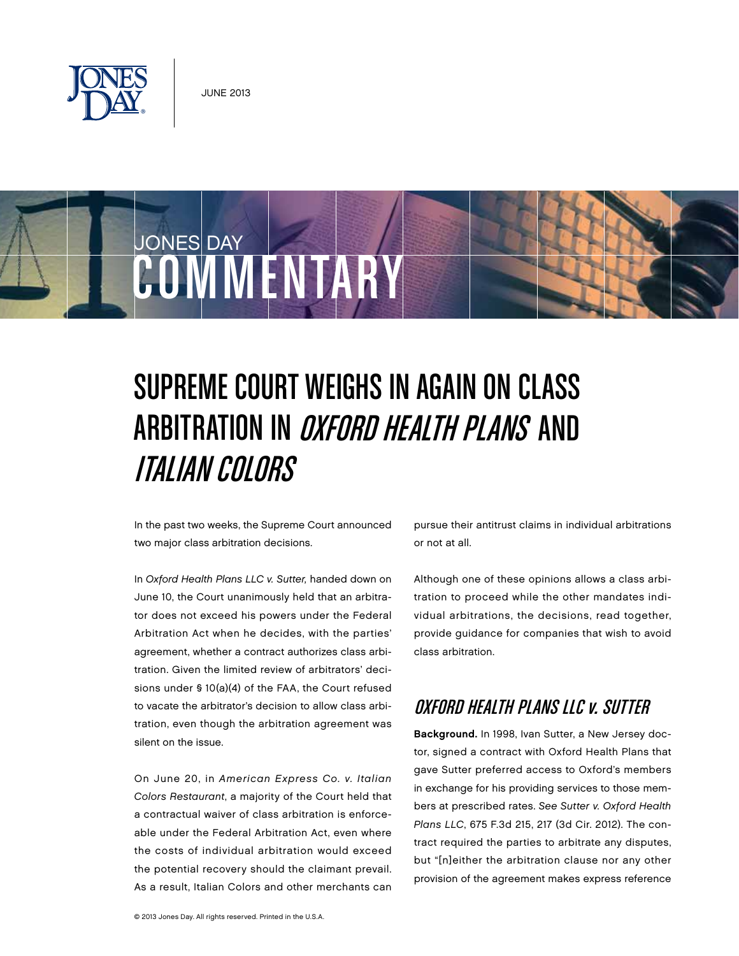



# Supreme Court Weighs In Again on Class Arbitration in Oxford Health Plans and Italian Colors

In the past two weeks, the Supreme Court announced two major class arbitration decisions.

In Oxford Health Plans LLC v. Sutter, handed down on June 10, the Court unanimously held that an arbitrator does not exceed his powers under the Federal Arbitration Act when he decides, with the parties' agreement, whether a contract authorizes class arbitration. Given the limited review of arbitrators' decisions under § 10(a)(4) of the FAA, the Court refused to vacate the arbitrator's decision to allow class arbitration, even though the arbitration agreement was silent on the issue.

On June 20, in American Express Co. v. Italian Colors Restaurant, a majority of the Court held that a contractual waiver of class arbitration is enforceable under the Federal Arbitration Act, even where the costs of individual arbitration would exceed the potential recovery should the claimant prevail. As a result, Italian Colors and other merchants can pursue their antitrust claims in individual arbitrations or not at all.

Although one of these opinions allows a class arbitration to proceed while the other mandates individual arbitrations, the decisions, read together, provide guidance for companies that wish to avoid class arbitration.

## Oxford Health Plans LLC v. Sutter

Background. In 1998, Ivan Sutter, a New Jersey doctor, signed a contract with Oxford Health Plans that gave Sutter preferred access to Oxford's members in exchange for his providing services to those members at prescribed rates. See Sutter v. Oxford Health Plans LLC, 675 F.3d 215, 217 (3d Cir. 2012). The contract required the parties to arbitrate any disputes, but "[n]either the arbitration clause nor any other provision of the agreement makes express reference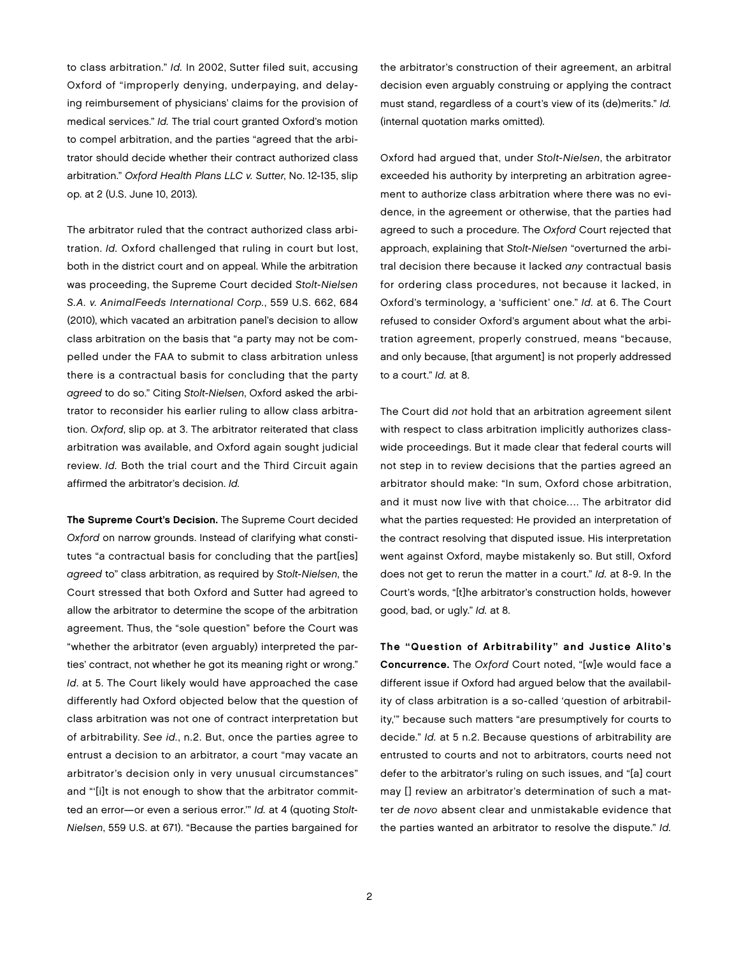to class arbitration." Id. In 2002, Sutter filed suit, accusing Oxford of "improperly denying, underpaying, and delaying reimbursement of physicians' claims for the provision of medical services." Id. The trial court granted Oxford's motion to compel arbitration, and the parties "agreed that the arbitrator should decide whether their contract authorized class arbitration." Oxford Health Plans LLC v. Sutter, No. 12-135, slip op. at 2 (U.S. June 10, 2013).

The arbitrator ruled that the contract authorized class arbitration. Id. Oxford challenged that ruling in court but lost, both in the district court and on appeal. While the arbitration was proceeding, the Supreme Court decided Stolt-Nielsen S.A. v. AnimalFeeds International Corp., 559 U.S. 662, 684 (2010), which vacated an arbitration panel's decision to allow class arbitration on the basis that "a party may not be compelled under the FAA to submit to class arbitration unless there is a contractual basis for concluding that the party agreed to do so." Citing Stolt-Nielsen, Oxford asked the arbitrator to reconsider his earlier ruling to allow class arbitration. Oxford, slip op. at 3. The arbitrator reiterated that class arbitration was available, and Oxford again sought judicial review. Id. Both the trial court and the Third Circuit again affirmed the arbitrator's decision. Id.

The Supreme Court's Decision. The Supreme Court decided Oxford on narrow grounds. Instead of clarifying what constitutes "a contractual basis for concluding that the part[ies] agreed to" class arbitration, as required by Stolt-Nielsen, the Court stressed that both Oxford and Sutter had agreed to allow the arbitrator to determine the scope of the arbitration agreement. Thus, the "sole question" before the Court was "whether the arbitrator (even arguably) interpreted the parties' contract, not whether he got its meaning right or wrong." Id. at 5. The Court likely would have approached the case differently had Oxford objected below that the question of class arbitration was not one of contract interpretation but of arbitrability. See id., n.2. But, once the parties agree to entrust a decision to an arbitrator, a court "may vacate an arbitrator's decision only in very unusual circumstances" and "'[i]t is not enough to show that the arbitrator committed an error—or even a serious error.'" Id. at 4 (quoting Stolt-Nielsen, 559 U.S. at 671). "Because the parties bargained for

the arbitrator's construction of their agreement, an arbitral decision even arguably construing or applying the contract must stand, regardless of a court's view of its (de)merits." Id. (internal quotation marks omitted).

Oxford had argued that, under Stolt-Nielsen, the arbitrator exceeded his authority by interpreting an arbitration agreement to authorize class arbitration where there was no evidence, in the agreement or otherwise, that the parties had agreed to such a procedure. The Oxford Court rejected that approach, explaining that Stolt-Nielsen "overturned the arbitral decision there because it lacked any contractual basis for ordering class procedures, not because it lacked, in Oxford's terminology, a 'sufficient' one." Id. at 6. The Court refused to consider Oxford's argument about what the arbitration agreement, properly construed, means "because, and only because, [that argument] is not properly addressed to a court." Id. at 8.

The Court did not hold that an arbitration agreement silent with respect to class arbitration implicitly authorizes classwide proceedings. But it made clear that federal courts will not step in to review decisions that the parties agreed an arbitrator should make: "In sum, Oxford chose arbitration, and it must now live with that choice…. The arbitrator did what the parties requested: He provided an interpretation of the contract resolving that disputed issue. His interpretation went against Oxford, maybe mistakenly so. But still, Oxford does not get to rerun the matter in a court." Id. at 8-9. In the Court's words, "[t]he arbitrator's construction holds, however good, bad, or ugly." Id. at 8.

The "Question of Arbitrability" and Justice Alito's Concurrence. The Oxford Court noted, "[w]e would face a different issue if Oxford had argued below that the availability of class arbitration is a so-called 'question of arbitrability,'" because such matters "are presumptively for courts to decide." Id. at 5 n.2. Because questions of arbitrability are entrusted to courts and not to arbitrators, courts need not defer to the arbitrator's ruling on such issues, and "[a] court may [] review an arbitrator's determination of such a matter de novo absent clear and unmistakable evidence that the parties wanted an arbitrator to resolve the dispute." Id.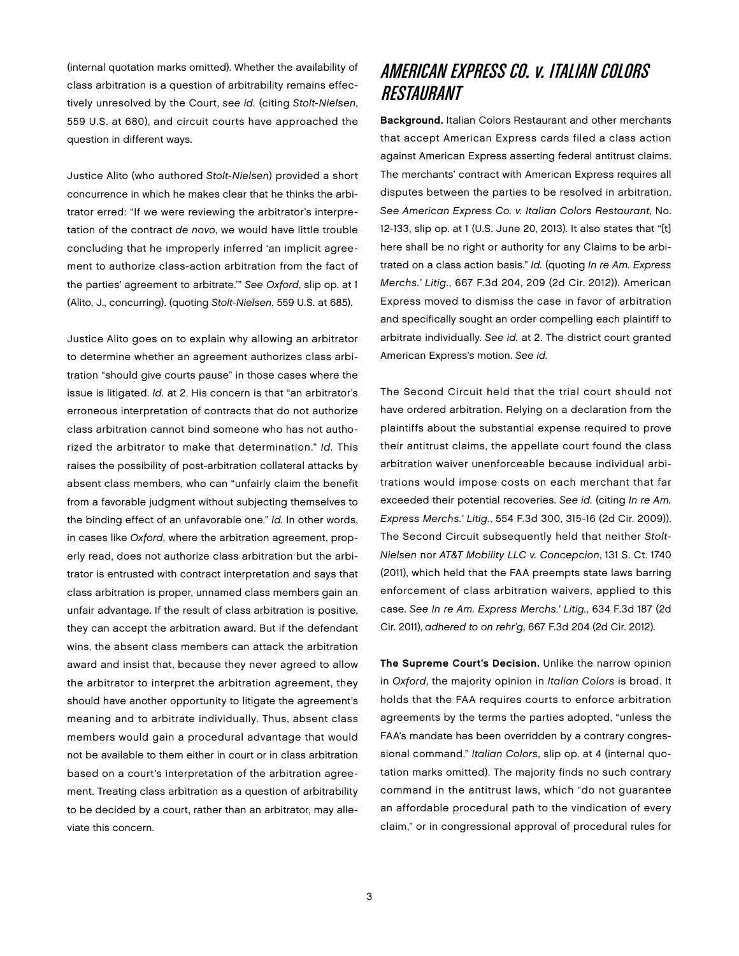(internal quotation marks omitted). Whether the availability of class arbitration is a question of arbitrability remains effectively unresolved by the Court, see id. (citing Stolt-Nielsen, 559 U.S. at 680), and circuit courts have approached the question in different ways.

Justice Alito (who authored Stolt-Nielsen) provided a short concurrence in which he makes clear that he thinks the arbitrator erred: "If we were reviewing the arbitrator's interpretation of the contract de novo, we would have little trouble concluding that he improperly inferred 'an implicit agreement to authorize class-action arbitration from the fact of the parties' agreement to arbitrate.'" See Oxford, slip op. at 1 (Alito, J., concurring). (quoting Stolt-Nielsen, 559 U.S. at 685).

Justice Alito goes on to explain why allowing an arbitrator to determine whether an agreement authorizes class arbitration "should give courts pause" in those cases where the issue is litigated. Id. at 2. His concern is that "an arbitrator's erroneous interpretation of contracts that do not authorize class arbitration cannot bind someone who has not authorized the arbitrator to make that determination." Id. This raises the possibility of post-arbitration collateral attacks by absent class members, who can "unfairly claim the benefit from a favorable judgment without subjecting themselves to the binding effect of an unfavorable one." Id. In other words, in cases like Oxford, where the arbitration agreement, properly read, does not authorize class arbitration but the arbitrator is entrusted with contract interpretation and says that class arbitration is proper, unnamed class members gain an unfair advantage. If the result of class arbitration is positive, they can accept the arbitration award. But if the defendant wins, the absent class members can attack the arbitration award and insist that, because they never agreed to allow the arbitrator to interpret the arbitration agreement, they should have another opportunity to litigate the agreement's meaning and to arbitrate individually. Thus, absent class members would gain a procedural advantage that would not be available to them either in court or in class arbitration based on a court's interpretation of the arbitration agreement. Treating class arbitration as a question of arbitrability to be decided by a court, rather than an arbitrator, may alleviate this concern.

## American Express Co. v. Italian Colors Restaurant

Background. Italian Colors Restaurant and other merchants that accept American Express cards filed a class action against American Express asserting federal antitrust claims. The merchants' contract with American Express requires all disputes between the parties to be resolved in arbitration. See American Express Co. v. Italian Colors Restaurant, No. 12-133, slip op. at 1 (U.S. June 20, 2013). It also states that "[t] here shall be no right or authority for any Claims to be arbitrated on a class action basis." Id. (quoting In re Am. Express Merchs.' Litig., 667 F.3d 204, 209 (2d Cir. 2012)). American Express moved to dismiss the case in favor of arbitration and specifically sought an order compelling each plaintiff to arbitrate individually. See id. at 2. The district court granted American Express's motion. See id.

The Second Circuit held that the trial court should not have ordered arbitration. Relying on a declaration from the plaintiffs about the substantial expense required to prove their antitrust claims, the appellate court found the class arbitration waiver unenforceable because individual arbitrations would impose costs on each merchant that far exceeded their potential recoveries. See id. (citing In re Am. Express Merchs.' Litig., 554 F.3d 300, 315-16 (2d Cir. 2009)). The Second Circuit subsequently held that neither Stolt-Nielsen nor AT&T Mobility LLC v. Concepcion, 131 S. Ct. 1740 (2011), which held that the FAA preempts state laws barring enforcement of class arbitration waivers, applied to this case. See In re Am. Express Merchs.' Litig., 634 F.3d 187 (2d Cir. 2011), adhered to on rehr'g, 667 F.3d 204 (2d Cir. 2012).

The Supreme Court's Decision. Unlike the narrow opinion in Oxford, the majority opinion in Italian Colors is broad. It holds that the FAA requires courts to enforce arbitration agreements by the terms the parties adopted, "unless the FAA's mandate has been overridden by a contrary congressional command." Italian Colors, slip op. at 4 (internal quotation marks omitted). The majority finds no such contrary command in the antitrust laws, which "do not guarantee an affordable procedural path to the vindication of every claim," or in congressional approval of procedural rules for